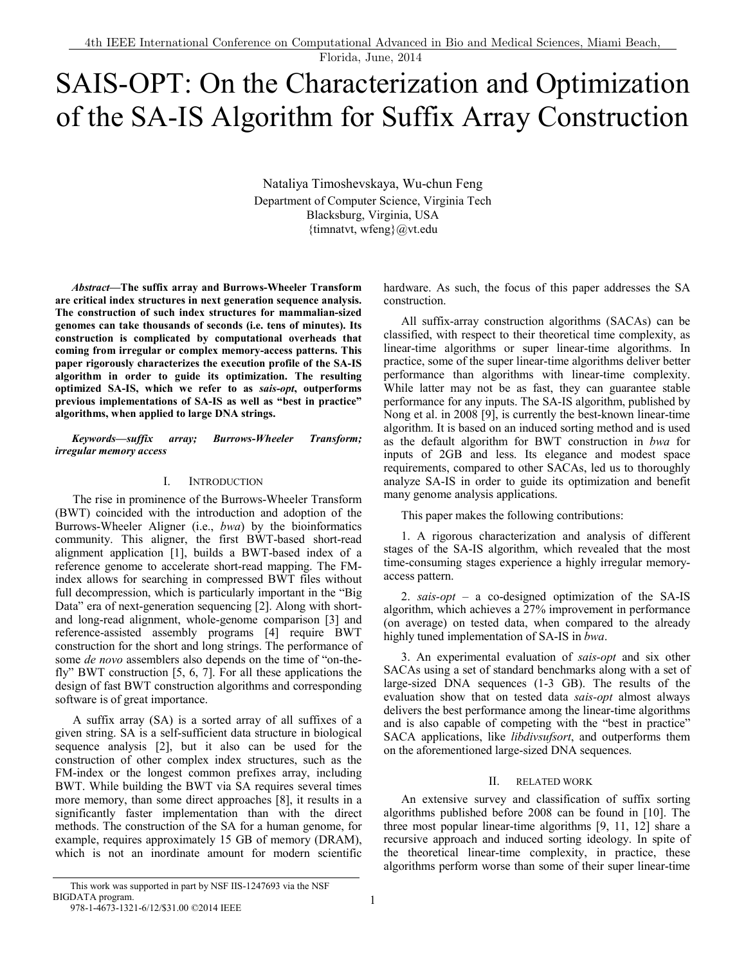# SAIS-OPT: On the Characterization and Optimization of the SA-IS Algorithm for Suffix Array Construction

Nataliya Timoshevskaya, Wu-chun Feng Department of Computer Science, Virginia Tech Blacksburg, Virginia, USA {timnatvt, wfeng} $@$ vt.edu

*Abstract***—The suffix array and Burrows-Wheeler Transform are critical index structures in next generation sequence analysis. The construction of such index structures for mammalian-sized genomes can take thousands of seconds (i.e. tens of minutes). Its construction is complicated by computational overheads that coming from irregular or complex memory-access patterns. This paper rigorously characterizes the execution profile of the SA-IS algorithm in order to guide its optimization. The resulting optimized SA-IS, which we refer to as** *sais-opt***, outperforms previous implementations of SA-IS as well as "best in practice" algorithms, when applied to large DNA strings.** 

### *Keywords—suffix array; Burrows-Wheeler Transform; irregular memory access*

### I. INTRODUCTION

The rise in prominence of the Burrows-Wheeler Transform (BWT) coincided with the introduction and adoption of the Burrows-Wheeler Aligner (i.e., *bwa*) by the bioinformatics community. This aligner, the first BWT-based short-read alignment application [1], builds a BWT-based index of a reference genome to accelerate short-read mapping. The FMindex allows for searching in compressed BWT files without full decompression, which is particularly important in the "Big Data" era of next-generation sequencing [2]. Along with shortand long-read alignment, whole-genome comparison [3] and reference-assisted assembly programs [4] require BWT construction for the short and long strings. The performance of some *de novo* assemblers also depends on the time of "on-thefly" BWT construction [5, 6, 7]. For all these applications the design of fast BWT construction algorithms and corresponding software is of great importance.

A suffix array (SA) is a sorted array of all suffixes of a given string. SA is a self-sufficient data structure in biological sequence analysis [2], but it also can be used for the construction of other complex index structures, such as the FM-index or the longest common prefixes array, including BWT. While building the BWT via SA requires several times more memory, than some direct approaches [8], it results in a significantly faster implementation than with the direct methods. The construction of the SA for a human genome, for example, requires approximately 15 GB of memory (DRAM), which is not an inordinate amount for modern scientific

hardware. As such, the focus of this paper addresses the SA construction.

All suffix-array construction algorithms (SACAs) can be classified, with respect to their theoretical time complexity, as linear-time algorithms or super linear-time algorithms. In practice, some of the super linear-time algorithms deliver better performance than algorithms with linear-time complexity. While latter may not be as fast, they can guarantee stable performance for any inputs. The SA-IS algorithm, published by Nong et al. in 2008 [9], is currently the best-known linear-time algorithm. It is based on an induced sorting method and is used as the default algorithm for BWT construction in *bwa* for inputs of 2GB and less. Its elegance and modest space requirements, compared to other SACAs, led us to thoroughly analyze SA-IS in order to guide its optimization and benefit many genome analysis applications.

This paper makes the following contributions:

1. A rigorous characterization and analysis of different stages of the SA-IS algorithm, which revealed that the most time-consuming stages experience a highly irregular memoryaccess pattern.

2. *sais-opt* – a co-designed optimization of the SA-IS algorithm, which achieves a 27% improvement in performance (on average) on tested data, when compared to the already highly tuned implementation of SA-IS in *bwa*.

3. An experimental evaluation of *sais-opt* and six other SACAs using a set of standard benchmarks along with a set of large-sized DNA sequences (1-3 GB). The results of the evaluation show that on tested data *sais-opt* almost always delivers the best performance among the linear-time algorithms and is also capable of competing with the "best in practice" SACA applications, like *libdivsufsort*, and outperforms them on the aforementioned large-sized DNA sequences.

#### II. RELATED WORK

An extensive survey and classification of suffix sorting algorithms published before 2008 can be found in [10]. The three most popular linear-time algorithms [9, 11, 12] share a recursive approach and induced sorting ideology. In spite of the theoretical linear-time complexity, in practice, these algorithms perform worse than some of their super linear-time

This work was supported in part by NSF IIS-1247693 via the NSF BIGDATA program. 978-1-4673-1321-6/12/\$31.00 ©2014 IEEE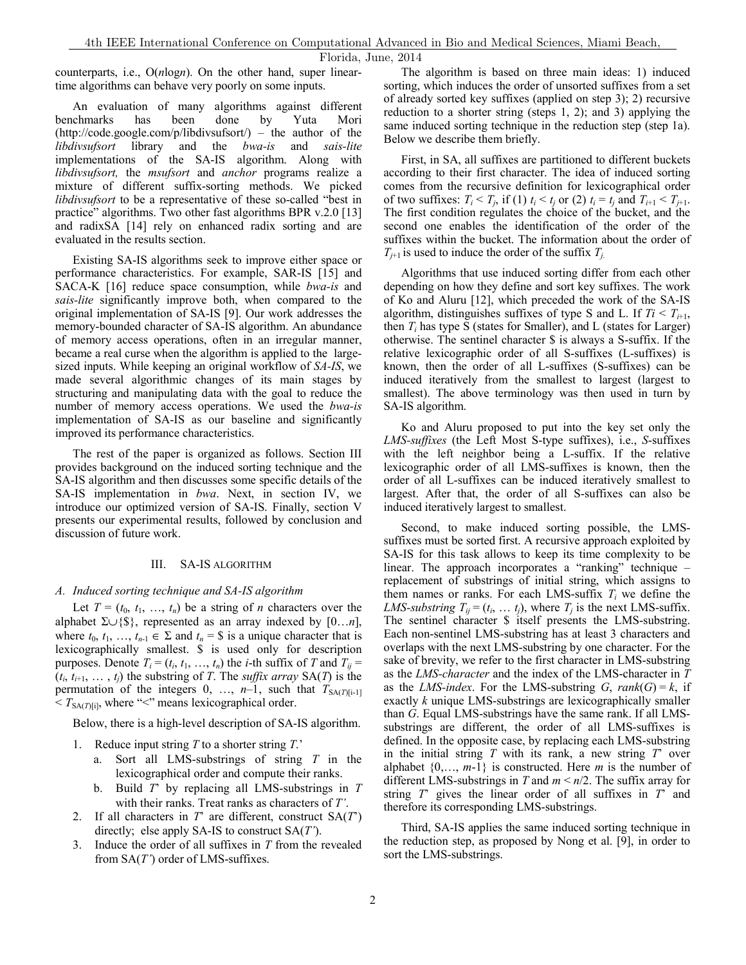counterparts, i.e., O(*n*log*n*). On the other hand, super lineartime algorithms can behave very poorly on some inputs.

An evaluation of many algorithms against different benchmarks has been done by Yuta Mori (http://code.google.com/p/libdivsufsort/) – the author of the *libdivsufsort* library and the *bwa-is* and *sais-lite* implementations of the SA-IS algorithm. Along with *libdivsufsort,* the *msufsort* and *anchor* programs realize a mixture of different suffix-sorting methods. We picked *libdivsufsort* to be a representative of these so-called "best in practice" algorithms. Two other fast algorithms BPR v.2.0 [13] and radixSA [14] rely on enhanced radix sorting and are evaluated in the results section.

Existing SA-IS algorithms seek to improve either space or performance characteristics. For example, SAR-IS [15] and SACA-K [16] reduce space consumption, while *bwa-is* and *sais-lite* significantly improve both, when compared to the original implementation of SA-IS [9]. Our work addresses the memory-bounded character of SA-IS algorithm. An abundance of memory access operations, often in an irregular manner, became a real curse when the algorithm is applied to the largesized inputs. While keeping an original workflow of *SA-IS*, we made several algorithmic changes of its main stages by structuring and manipulating data with the goal to reduce the number of memory access operations. We used the *bwa-is* implementation of SA-IS as our baseline and significantly improved its performance characteristics.

The rest of the paper is organized as follows. Section III provides background on the induced sorting technique and the SA-IS algorithm and then discusses some specific details of the SA-IS implementation in *bwa*. Next, in section IV, we introduce our optimized version of SA-IS. Finally, section V presents our experimental results, followed by conclusion and discussion of future work.

#### III. SA-IS ALGORITHM

#### *A. Induced sorting technique and SA-IS algorithm*

Let  $T = (t_0, t_1, \ldots, t_n)$  be a string of *n* characters over the alphabet Σ∪{\$}, represented as an array indexed by [0…*n*], where  $t_0, t_1, ..., t_{n-1} \in \Sigma$  and  $t_n = \S$  is a unique character that is lexicographically smallest. \$ is used only for description purposes. Denote  $T_i = (t_i, t_1, ..., t_n)$  the *i*-th suffix of *T* and  $T_{ij} =$  $(t_i, t_{i+1}, \ldots, t_i)$  the substring of *T*. The *suffix array* SA(*T*) is the permutation of the integers  $0, \ldots, n-1$ , such that  $T_{SA(T)[i-1]}$  $\langle T_{\text{SA}(T)[i]},$  where " $\langle \cdot \rangle$ " means lexicographical order.

Below, there is a high-level description of SA-IS algorithm.

- 1. Reduce input string *T* to a shorter string *T*.'
	- a. Sort all LMS-substrings of string *T* in the lexicographical order and compute their ranks.
	- b. Build *T*' by replacing all LMS-substrings in *T* with their ranks. Treat ranks as characters of *T'*.
- 2. If all characters in *T*' are different, construct SA(*T*') directly; else apply SA-IS to construct SA(*T'*).
- 3. Induce the order of all suffixes in *T* from the revealed from SA(*T'*) order of LMS-suffixes.

The algorithm is based on three main ideas: 1) induced sorting, which induces the order of unsorted suffixes from a set of already sorted key suffixes (applied on step 3); 2) recursive reduction to a shorter string (steps 1, 2); and 3) applying the same induced sorting technique in the reduction step (step 1a). Below we describe them briefly.

First, in SA, all suffixes are partitioned to different buckets according to their first character. The idea of induced sorting comes from the recursive definition for lexicographical order of two suffixes:  $T_i < T_j$ , if (1)  $t_i < t_j$  or (2)  $t_i = t_j$  and  $T_{i+1} < T_{j+1}$ . The first condition regulates the choice of the bucket, and the second one enables the identification of the order of the suffixes within the bucket. The information about the order of  $T_{i+1}$  is used to induce the order of the suffix  $T_i$ .

Algorithms that use induced sorting differ from each other depending on how they define and sort key suffixes. The work of Ko and Aluru [12], which preceded the work of the SA-IS algorithm, distinguishes suffixes of type S and L. If  $Ti < T_{i+1}$ , then  $T_i$  has type S (states for Smaller), and L (states for Larger) otherwise. The sentinel character \$ is always a S-suffix. If the relative lexicographic order of all S-suffixes (L-suffixes) is known, then the order of all L-suffixes (S-suffixes) can be induced iteratively from the smallest to largest (largest to smallest). The above terminology was then used in turn by SA-IS algorithm.

Ko and Aluru proposed to put into the key set only the *LMS-suffixes* (the Left Most S-type suffixes), i.e., *S*-suffixes with the left neighbor being a L-suffix. If the relative lexicographic order of all LMS-suffixes is known, then the order of all L-suffixes can be induced iteratively smallest to largest. After that, the order of all S-suffixes can also be induced iteratively largest to smallest.

Second, to make induced sorting possible, the LMSsuffixes must be sorted first. A recursive approach exploited by SA-IS for this task allows to keep its time complexity to be linear. The approach incorporates a "ranking" technique – replacement of substrings of initial string, which assigns to them names or ranks. For each LMS-suffix  $T_i$  we define the *LMS-substring*  $T_{ij} = (t_i, \ldots t_j)$ , where  $T_j$  is the next LMS-suffix. The sentinel character \$ itself presents the LMS-substring. Each non-sentinel LMS-substring has at least 3 characters and overlaps with the next LMS-substring by one character. For the sake of brevity, we refer to the first character in LMS-substring as the *LMS-character* and the index of the LMS-character in *T* as the *LMS-index*. For the LMS-substring  $G$ ,  $rank(G) = k$ , if exactly *k* unique LMS-substrings are lexicographically smaller than *G*. Equal LMS-substrings have the same rank. If all LMSsubstrings are different, the order of all LMS-suffixes is defined. In the opposite case, by replacing each LMS-substring in the initial string *T* with its rank, a new string *T*' over alphabet {0,…, *m*-1} is constructed. Here *m* is the number of different LMS-substrings in *T* and *m* < *n*/2. The suffix array for string *T*' gives the linear order of all suffixes in *T*' and therefore its corresponding LMS-substrings.

Third, SA-IS applies the same induced sorting technique in the reduction step, as proposed by Nong et al. [9], in order to sort the LMS-substrings.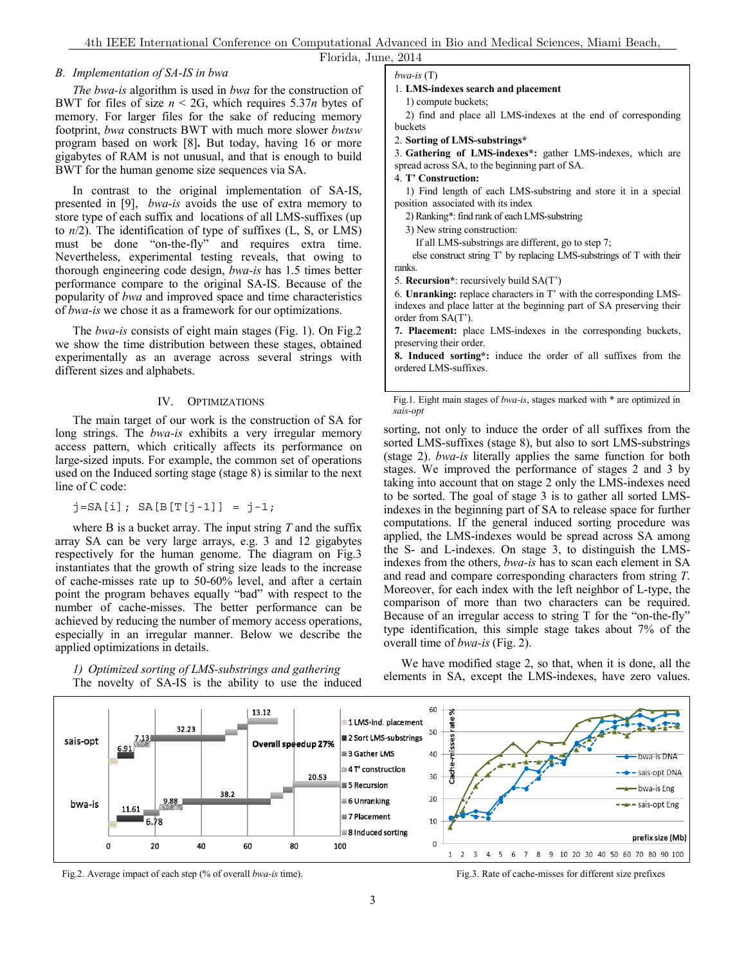### *B. Implementation of SA-IS in bwa*

*The bwa-is* algorithm is used in *bwa* for the construction of BWT for files of size  $n < 2G$ , which requires 5.37*n* bytes of memory. For larger files for the sake of reducing memory footprint, *bwa* constructs BWT with much more slower *bwtsw* program based on work [8]**.** But today, having 16 or more gigabytes of RAM is not unusual, and that is enough to build BWT for the human genome size sequences via SA.

In contrast to the original implementation of SA-IS, presented in [9], *bwa-is* avoids the use of extra memory to store type of each suffix and locations of all LMS-suffixes (up to *n*/2). The identification of type of suffixes (L, S, or LMS) must be done "on-the-fly" and requires extra time. Nevertheless, experimental testing reveals, that owing to thorough engineering code design, *bwa-is* has 1.5 times better performance compare to the original SA-IS. Because of the popularity of *bwa* and improved space and time characteristics of *bwa-is* we chose it as a framework for our optimizations.

The *bwa-is* consists of eight main stages (Fig. 1). On Fig.2 we show the time distribution between these stages, obtained experimentally as an average across several strings with different sizes and alphabets.

#### IV. OPTIMIZATIONS

The main target of our work is the construction of SA for long strings. The *bwa-is* exhibits a very irregular memory access pattern, which critically affects its performance on large-sized inputs. For example, the common set of operations used on the Induced sorting stage (stage 8) is similar to the next line of C code:

 $j = SA[i]$ ;  $SA[B[T[j-1]] = j-1;$ 

where B is a bucket array. The input string *T* and the suffix array SA can be very large arrays, e.g. 3 and 12 gigabytes respectively for the human genome. The diagram on Fig.3 instantiates that the growth of string size leads to the increase of cache-misses rate up to 50-60% level, and after a certain point the program behaves equally "bad" with respect to the number of cache-misses. The better performance can be achieved by reducing the number of memory access operations, especially in an irregular manner. Below we describe the applied optimizations in details.

*bwa-is* (T)

## 1. **LMS-indexes search and placement**

 2) find and place all LMS-indexes at the end of corresponding buckets

2. **Sorting of LMS-substrings\***

3. **Gathering of LMS-indexes\*:** gather LMS-indexes, which are spread across SA, to the beginning part of SA.

4. **T' Construction:**

 1) Find length of each LMS-substring and store it in a special position associated with its index

2) Ranking\*: find rank of each LMS-substring

3) New string construction:

If all LMS-substrings are different, go to step 7;

 else construct string T' by replacing LMS-substrings of T with their ranks.

5. **Recursion\***: recursively build SA(T')

6. **Unranking:** replace characters in T' with the corresponding LMSindexes and place latter at the beginning part of SA preserving their order from SA(T').

**7. Placement:** place LMS-indexes in the corresponding buckets, preserving their order.

**8. Induced sorting\*:** induce the order of all suffixes from the ordered LMS-suffixes.

Fig.1. Eight main stages of *bwa-is*, stages marked with \* are optimized in *sais-opt*

sorting, not only to induce the order of all suffixes from the sorted LMS-suffixes (stage 8), but also to sort LMS-substrings (stage 2). *bwa-is* literally applies the same function for both stages. We improved the performance of stages 2 and 3 by taking into account that on stage 2 only the LMS-indexes need to be sorted. The goal of stage 3 is to gather all sorted LMSindexes in the beginning part of SA to release space for further computations. If the general induced sorting procedure was applied, the LMS-indexes would be spread across SA among the S- and L-indexes. On stage 3, to distinguish the LMSindexes from the others, *bwa-is* has to scan each element in SA and read and compare corresponding characters from string *T*. Moreover, for each index with the left neighbor of L-type, the comparison of more than two characters can be required. Because of an irregular access to string T for the "on-the-fly" type identification, this simple stage takes about 7% of the overall time of *bwa-is* (Fig. 2).



*1) Optimized sorting of LMS-substrings and gathering*  The novelty of SA-IS is the ability to use the induced

We have modified stage 2, so that, when it is done, all the elements in SA, except the LMS-indexes, have zero values.

Fig.2. Average impact of each step (% of overall *bwa-is* time). Fig.3. Rate of cache-misses for different size prefixes

 <sup>1)</sup> compute buckets;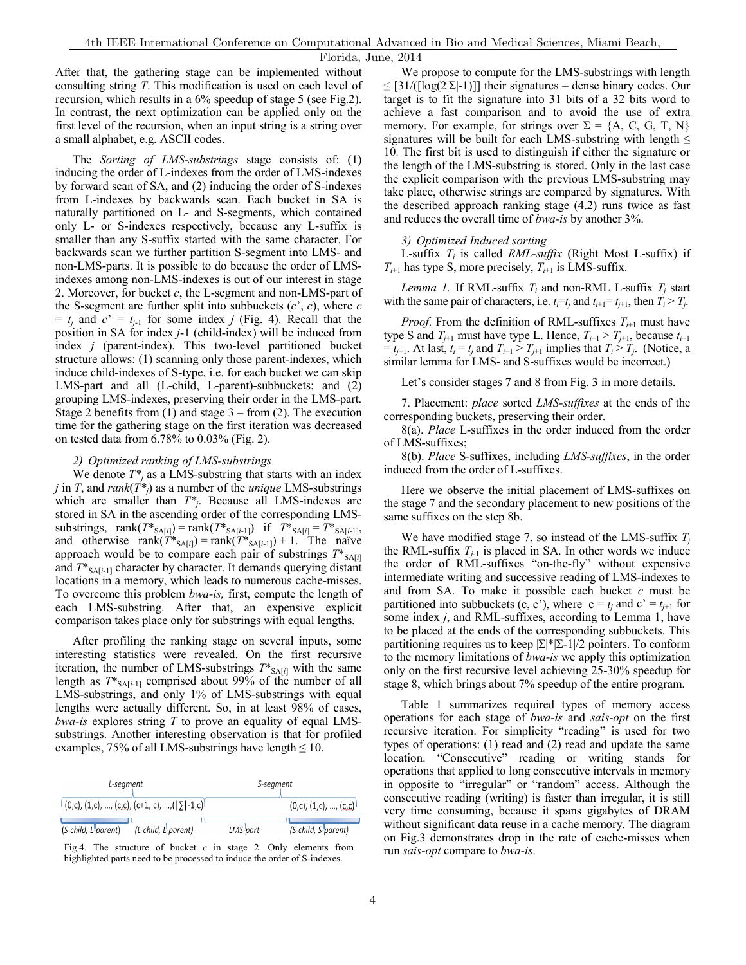After that, the gathering stage can be implemented without consulting string *T*. This modification is used on each level of recursion, which results in a 6% speedup of stage 5 (see Fig.2). In contrast, the next optimization can be applied only on the first level of the recursion, when an input string is a string over a small alphabet, e.g. ASCII codes.

The *Sorting of LMS-substrings* stage consists of: (1) inducing the order of L-indexes from the order of LMS-indexes by forward scan of SA, and (2) inducing the order of S-indexes from L-indexes by backwards scan. Each bucket in SA is naturally partitioned on L- and S-segments, which contained only L- or S-indexes respectively, because any L-suffix is smaller than any S-suffix started with the same character. For backwards scan we further partition S-segment into LMS- and non-LMS-parts. It is possible to do because the order of LMSindexes among non-LMS-indexes is out of our interest in stage 2. Moreover, for bucket *c*, the L-segment and non-LMS-part of the S-segment are further split into subbuckets (*c*', *c*), where *c*  $= t_j$  and  $c' = t_{j-1}$  for some index *j* (Fig. 4). Recall that the position in SA for index *j*-1 (child-index) will be induced from index *j* (parent-index). This two-level partitioned bucket structure allows: (1) scanning only those parent-indexes, which induce child-indexes of S-type, i.e. for each bucket we can skip LMS-part and all (L-child, L-parent)-subbuckets; and (2) grouping LMS-indexes, preserving their order in the LMS-part. Stage 2 benefits from  $(1)$  and stage  $3 -$  from  $(2)$ . The execution time for the gathering stage on the first iteration was decreased on tested data from 6.78% to 0.03% (Fig. 2).

## *2) Optimized ranking of LMS-substrings*

We denote  $T^*$ <sub>*i*</sub> as a LMS-substring that starts with an index *j* in *T*, and *rank*( $T^*$ *j*) as a number of the *unique* LMS-substrings which are smaller than *T\*j*. Because all LMS-indexes are stored in SA in the ascending order of the corresponding LMSsubstrings,  $rank(T^*_{SA[i]}) = rank(T^*_{SA[i-1]})$  if  $T^*_{SA[i]} = T^*_{SA[i-1]}$ , and otherwise rank $(T^*_{SA[i]})$  = rank $(T^*_{SA[i-1]})$  + 1. The naïve approach would be to compare each pair of substrings  $T^*_{\text{SA}[i]}$ and  $T^*_{SA[i-1]}$  character by character. It demands querying distant locations in a memory, which leads to numerous cache-misses. To overcome this problem *bwa-is,* first, compute the length of each LMS-substring. After that, an expensive explicit comparison takes place only for substrings with equal lengths.

After profiling the ranking stage on several inputs, some interesting statistics were revealed. On the first recursive iteration, the number of LMS-substrings  $T^*_{\text{SA}[i]}$  with the same length as  $T^*_{SA[i-1]}$  comprised about 99% of the number of all LMS-substrings, and only 1% of LMS-substrings with equal lengths were actually different. So, in at least 98% of cases, *bwa-is* explores string *T* to prove an equality of equal LMSsubstrings. Another interesting observation is that for profiled examples, 75% of all LMS-substrings have length  $\leq 10$ .

| L-segment                                                              | S-segment |                               |  |
|------------------------------------------------------------------------|-----------|-------------------------------|--|
| $(0, c), (1, c), , (c, c), (c+1, c), , (\lfloor \sum   -1, c \rfloor)$ |           | $(0,c)$ , $(1,c)$ , , $(c,c)$ |  |
| (S-child, L-parent)<br>(L-child, L-parent)                             | LMS-part  | (S-child, S-parent)           |  |

Fig.4. The structure of bucket *c* in stage 2. Only elements from  $\int$  run *sais-opt* compare to *bwa-is*. highlighted parts need to be processed to induce the order of S-indexes.

We propose to compute for the LMS-substrings with length  $\leq$  [31/([log(2|Σ|-1)]] their signatures – dense binary codes. Our target is to fit the signature into 31 bits of a 32 bits word to achieve a fast comparison and to avoid the use of extra memory. For example, for strings over  $\Sigma = \{A, C, G, T, N\}$ signatures will be built for each LMS-substring with length  $\leq$ 10. The first bit is used to distinguish if either the signature or the length of the LMS-substring is stored. Only in the last case the explicit comparison with the previous LMS-substring may take place, otherwise strings are compared by signatures. With the described approach ranking stage (4.2) runs twice as fast and reduces the overall time of *bwa-is* by another 3%.

## *3) Optimized Induced sorting*

L-suffix *Ti* is called *RML-suffix* (Right Most L-suffix) if  $T_{i+1}$  has type S, more precisely,  $T_{i+1}$  is LMS-suffix.

*Lemma 1.* If RML-suffix  $T_i$  and non-RML L-suffix  $T_i$  start with the same pair of characters, i.e.  $t_i = t_j$  and  $t_{i+1} = t_{j+1}$ , then  $T_i > T_j$ .

*Proof.* From the definition of RML-suffixes  $T_{i+1}$  must have type S and  $T_{i+1}$  must have type L. Hence,  $T_{i+1} > T_{i+1}$ , because  $t_{i+1}$  $t_{i+1}$ . At last,  $t_i = t_j$  and  $T_{i+1} > T_{i+1}$  implies that  $T_i > T_i$ . (Notice, a similar lemma for LMS- and S-suffixes would be incorrect.)

Let's consider stages 7 and 8 from Fig. 3 in more details.

7. Placement: *place* sorted *LMS-suffixes* at the ends of the corresponding buckets, preserving their order.

8(a). *Place* L-suffixes in the order induced from the order of LMS-suffixes;

8(b). *Place* S-suffixes, including *LMS-suffixes*, in the order induced from the order of L-suffixes.

Here we observe the initial placement of LMS-suffixes on the stage 7 and the secondary placement to new positions of the same suffixes on the step 8b.

We have modified stage 7, so instead of the LMS-suffix *Tj* the RML-suffix  $T_{j-1}$  is placed in SA. In other words we induce the order of RML-suffixes "on-the-fly" without expensive intermediate writing and successive reading of LMS-indexes to and from SA. To make it possible each bucket *c* must be partitioned into subbuckets (c, c'), where  $c = t_i$  and  $c' = t_{i+1}$  for some index *j*, and RML-suffixes, according to Lemma 1, have to be placed at the ends of the corresponding subbuckets. This partitioning requires us to keep  $|\Sigma|^*|\Sigma-1|/2$  pointers. To conform to the memory limitations of *bwa-is* we apply this optimization only on the first recursive level achieving 25-30% speedup for stage 8, which brings about 7% speedup of the entire program.

Table 1 summarizes required types of memory access operations for each stage of *bwa-is* and *sais-opt* on the first recursive iteration. For simplicity "reading" is used for two types of operations: (1) read and (2) read and update the same location. "Consecutive" reading or writing stands for operations that applied to long consecutive intervals in memory in opposite to "irregular" or "random" access. Although the consecutive reading (writing) is faster than irregular, it is still very time consuming, because it spans gigabytes of DRAM without significant data reuse in a cache memory. The diagram on Fig.3 demonstrates drop in the rate of cache-misses when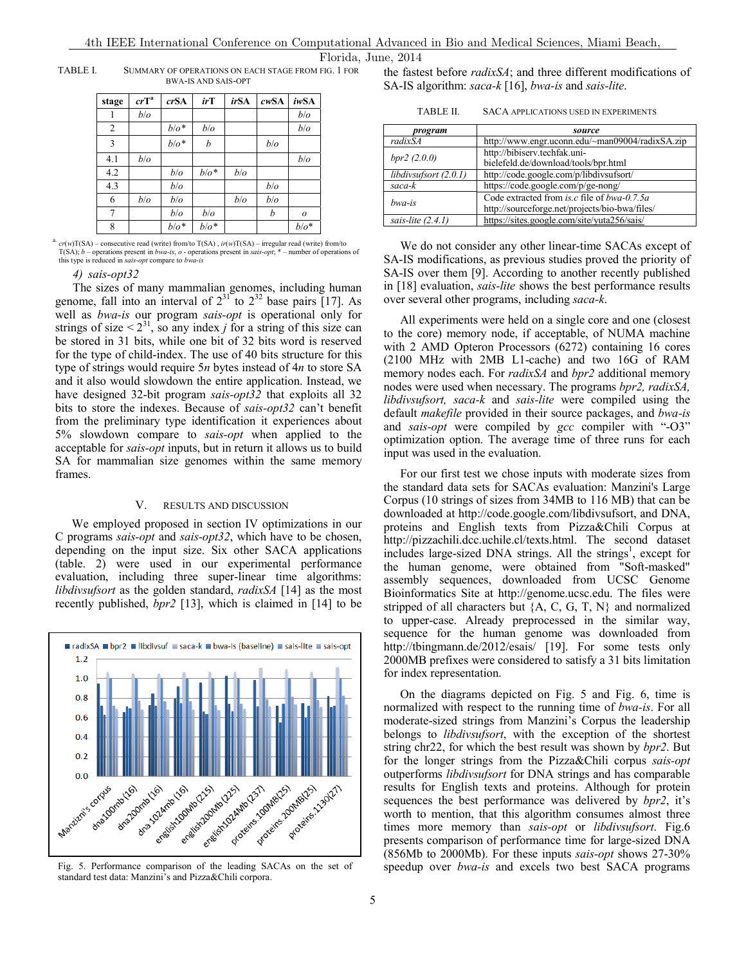TABLE I. SUMMARY OF OPERATIONS ON EACH STAGE FROM FIG. 1 FOR BWA-IS AND SAIS-OPT

| stage          | $crT^a$ | crSA    | irT     | <i>irSA</i> | cwSA | iwSA             |
|----------------|---------|---------|---------|-------------|------|------------------|
|                | b/o     |         |         |             |      | b/o              |
| $\overline{2}$ |         | $b/o^*$ | b/o     |             |      | b/o              |
| 3              |         | $b/o^*$ | b       |             | b/o  |                  |
| 4.1            | b/o     |         |         |             |      | b/o              |
| 4.2            |         | b/o     | $b/o^*$ | b/o         |      |                  |
| 4.3            |         | b/o     |         |             | b/o  |                  |
| 6              | b/o     | b/o     |         | b/o         | b/o  |                  |
| 7              |         | b/o     | b/o     |             | b    | $\boldsymbol{o}$ |
| 8              |         | $b/o^*$ | $b/o^*$ |             |      | $b/o^*$          |

a. *cr*(*w*)T(SA) – consecutive read (write) from/to T(SA) , *ir*(*w*)T(SA) – irregular read (write) from/to T(SA); *b* – operations present in *bwa-is*, *o* - operations present in *sais-opt*; \* – number of operations of this type is reduced in *sais-opt* compare to *bwa-is*

#### *4) sais-opt32*

The sizes of many mammalian genomes, including human genome, fall into an interval of  $2^{31}$  to  $2^{32}$  base pairs [17]. As well as *bwa-is* our program *sais-opt* is operational only for strings of size  $\langle 2^{31} \rangle$ , so any index *j* for a string of this size can be stored in 31 bits, while one bit of 32 bits word is reserved for the type of child-index. The use of 40 bits structure for this type of strings would require 5*n* bytes instead of 4*n* to store SA and it also would slowdown the entire application. Instead, we have designed 32-bit program *sais-opt32* that exploits all 32 bits to store the indexes. Because of *sais-opt32* can't benefit from the preliminary type identification it experiences about 5% slowdown compare to *sais-opt* when applied to the acceptable for *sais-opt* inputs, but in return it allows us to build SA for mammalian size genomes within the same memory frames.

#### V. RESULTS AND DISCUSSION

We employed proposed in section IV optimizations in our C programs *sais-opt* and *sais-opt32*, which have to be chosen, depending on the input size. Six other SACA applications (table. 2) were used in our experimental performance evaluation, including three super-linear time algorithms: *libdivsufsort* as the golden standard, *radixSA* [14] as the most recently published, *bpr2* [13], which is claimed in [14] to be



standard test data: Manzini's and Pizza&Chili corpora.

the fastest before *radixSA*; and three different modifications of SA-IS algorithm: *saca-k* [16], *bwa-is* and *sais-lite*.

| TABLE II.<br><b>SACA APPLICATIONS USED IN EXPERIMENTS</b> |  |
|-----------------------------------------------------------|--|
|-----------------------------------------------------------|--|

| program               | source                                                    |
|-----------------------|-----------------------------------------------------------|
| $radixS\overline{A}$  | http://www.engr.uconn.edu/~man09004/radixSA.zip           |
| bpr2(2.0.0)           | http://bibiserv.techfak.uni-                              |
|                       | bielefeld.de/download/tools/bpr.html                      |
| libdivsufsort (2.0.1) | http://code.google.com/p/libdivsufsort/                   |
| saca-k                | https://code.google.com/p/ge-nong/                        |
| bwa-is                | Code extracted from <i>is.c</i> file of <i>bwa-0.7.5a</i> |
|                       | http://sourceforge.net/projects/bio-bwa/files/            |
| sais-lite $(2.4.1)$   | https://sites.google.com/site/yuta256/sais/               |

We do not consider any other linear-time SACAs except of SA-IS modifications, as previous studies proved the priority of SA-IS over them [9]. According to another recently published in [18] evaluation, *sais-lite* shows the best performance results over several other programs, including *saca-k*.

All experiments were held on a single core and one (closest to the core) memory node, if acceptable, of NUMA machine with 2 AMD Opteron Processors (6272) containing 16 cores (2100 MHz with 2MB L1-cache) and two 16G of RAM memory nodes each. For *radixSA* and *bpr2* additional memory nodes were used when necessary. The programs *bpr2, radixSA, libdivsufsort, saca-k* and *sais-lite* were compiled using the default *makefile* provided in their source packages, and *bwa-is* and *sais-opt* were compiled by *gcc* compiler with "-O3" optimization option. The average time of three runs for each input was used in the evaluation.

For our first test we chose inputs with moderate sizes from the standard data sets for SACAs evaluation: Manzini's Large Corpus (10 strings of sizes from 34MB to 116 MB) that can be downloaded at http://code.google.com/libdivsufsort, and DNA, proteins and English texts from Pizza&Chili Corpus at http://pizzachili.dcc.uchile.cl/texts.html. The second dataset includes large-sized DNA strings. All the strings<sup>1</sup>, except for the human genome, were obtained from "Soft-masked" assembly sequences, downloaded from UCSC Genome Bioinformatics Site at http://genome.ucsc.edu. The files were stripped of all characters but  ${A, C, G, T, N}$  and normalized to upper-case. Already preprocessed in the similar way, sequence for the human genome was downloaded from http://tbingmann.de/2012/esais/ [19]. For some tests only 2000MB prefixes were considered to satisfy a 31 bits limitation for index representation.

On the diagrams depicted on Fig. 5 and Fig. 6, time is normalized with respect to the running time of *bwa-is*. For all moderate-sized strings from Manzini's Corpus the leadership belongs to *libdivsufsort*, with the exception of the shortest string chr22, for which the best result was shown by *bpr2*. But for the longer strings from the Pizza&Chili corpus *sais-opt* outperforms *libdivsufsort* for DNA strings and has comparable results for English texts and proteins. Although for protein sequences the best performance was delivered by *bpr2*, it's worth to mention, that this algorithm consumes almost three times more memory than *sais-opt* or *libdivsufsort*. Fig.6 presents comparison of performance time for large-sized DNA (856Mb to 2000Mb). For these inputs *sais-opt* shows 27-30% Fig. 5. Performance comparison of the leading SACAs on the set of speedup over *bwa-is* and excels two best SACA programs